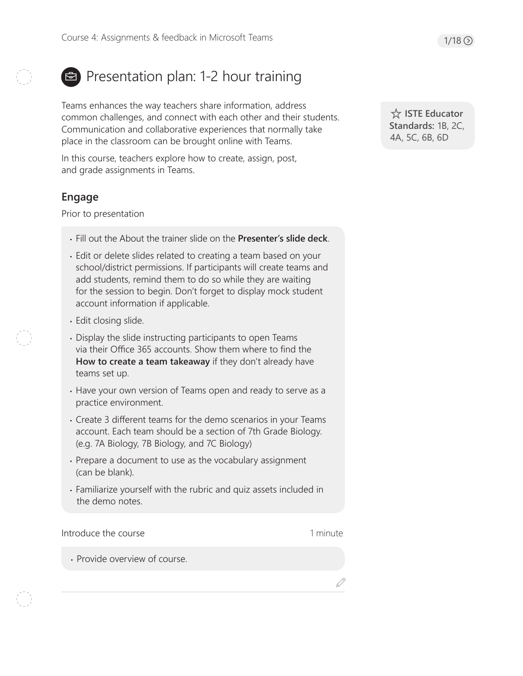# Presentation plan: 1-2 hour training

Teams enhances the way teachers share information, address common challenges, and connect with each other and their students. Communication and collaborative experiences that normally take place in the classroom can be brought online with Teams.

In this course, teachers explore how to create, assign, post, and grade assignments in Teams.

# **Engage**

Prior to presentation

- Fill out the About the trainer slide on the **Presenter's slide deck**.
- Edit or delete slides related to creating a team based on your school/district permissions. If participants will create teams and add students, remind them to do so while they are waiting for the session to begin. Don't forget to display mock student account information if applicable.
- Edit closing slide.
- Display the slide instructing participants to open Teams via their Office 365 accounts. Show them where to find the **How to create a team takeaway** if they don't already have teams set up.
- Have your own version of Teams open and ready to serve as a practice environment.
- Create 3 different teams for the demo scenarios in your Teams account. Each team should be a section of 7th Grade Biology. (e.g. 7A Biology, 7B Biology, and 7C Biology)
- Prepare a document to use as the vocabulary assignment (can be blank).
- Familiarize yourself with the rubric and quiz assets included in the demo notes.

Introduce the course

1 minute

D

• Provide overview of course.

 **ISTE Educator Standards:** 1B, 2C, 4A, 5C, 6B, 6D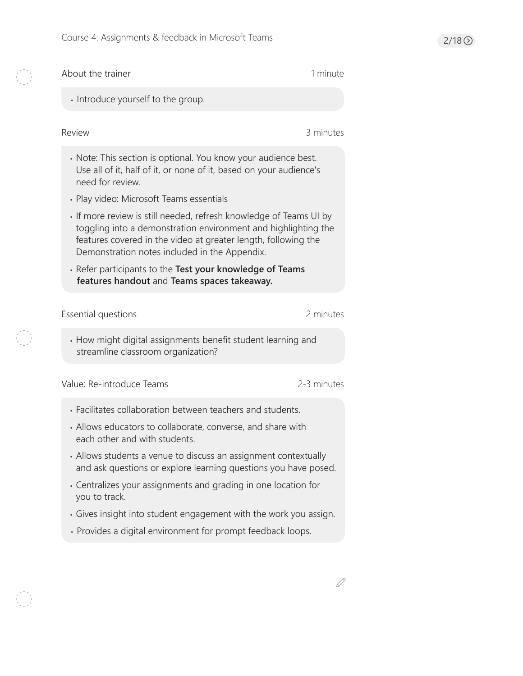$\begin{pmatrix} 1 & 1 \\ 1 & 1 \\ 1 & 1 \end{pmatrix}$ 

K

O

| About the trainer                                                                                                                                                                                                                                     | 1 minute    |  |
|-------------------------------------------------------------------------------------------------------------------------------------------------------------------------------------------------------------------------------------------------------|-------------|--|
| · Introduce yourself to the group.                                                                                                                                                                                                                    |             |  |
| <b>Review</b>                                                                                                                                                                                                                                         | 3 minutes   |  |
| • Note: This section is optional. You know your audience best.<br>Use all of it, half of it, or none of it, based on your audience's<br>need for review.                                                                                              |             |  |
| · Play video: Microsoft Teams essentials                                                                                                                                                                                                              |             |  |
| If more review is still needed, refresh knowledge of Teams UI by<br>toggling into a demonstration environment and highlighting the<br>features covered in the video at greater length, following the<br>Demonstration notes included in the Appendix. |             |  |
| · Refer participants to the Test your knowledge of Teams<br>features handout and Teams spaces takeaway.                                                                                                                                               |             |  |
| Essential questions                                                                                                                                                                                                                                   | 2 minutes   |  |
| • How might digital assignments benefit student learning and<br>streamline classroom organization?                                                                                                                                                    |             |  |
| Value: Re-introduce Teams                                                                                                                                                                                                                             | 2-3 minutes |  |
|                                                                                                                                                                                                                                                       |             |  |
| • Facilitates collaboration between teachers and students.                                                                                                                                                                                            |             |  |
| • Allows educators to collaborate, converse, and share with<br>each other and with students.                                                                                                                                                          |             |  |
| • Allows students a venue to discuss an assignment contextually<br>and ask questions or explore learning questions you have posed.                                                                                                                    |             |  |
| • Centralizes your assignments and grading in one location for<br>you to track.                                                                                                                                                                       |             |  |
| • Gives insight into student engagement with the work you assign.                                                                                                                                                                                     |             |  |

 $\mathscr{Q}$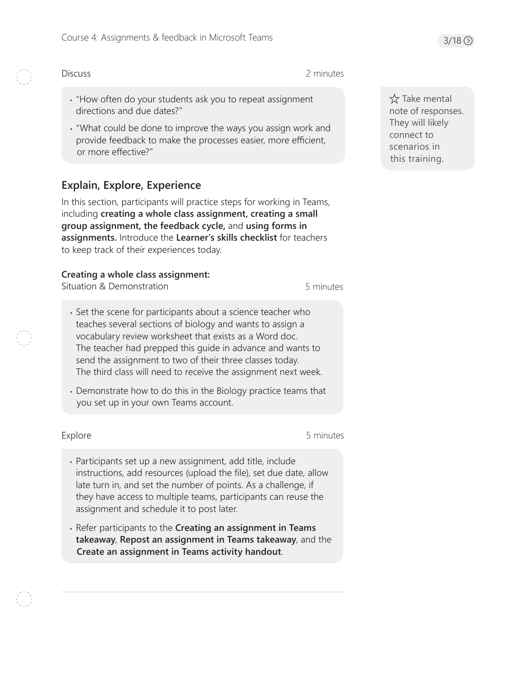#### **Discuss**

- 2 minutes
- "How often do your students ask you to repeat assignment directions and due dates?"
- "What could be done to improve the ways you assign work and provide feedback to make the processes easier, more efficient, or more effective?"

# **Explain, Explore, Experience**

In this section, participants will practice steps for working in Teams, including **creating a whole class assignment, creating a small group assignment, the feedback cycle,** and **using forms in assignments.** Introduce the **Learner's skills checklist** for teachers to keep track of their experiences today.

## **Creating a whole class assignment:**

Situation & Demonstration

5 minutes

- Set the scene for participants about a science teacher who teaches several sections of biology and wants to assign a vocabulary review worksheet that exists as a Word doc. The teacher had prepped this guide in advance and wants to send the assignment to two of their three classes today. The third class will need to receive the assignment next week.
- Demonstrate how to do this in the Biology practice teams that you set up in your own Teams account.

Explore 5 minutes

- Participants set up a new assignment, add title, include instructions, add resources (upload the file), set due date, allow late turn in, and set the number of points. As a challenge, if they have access to multiple teams, participants can reuse the assignment and schedule it to post later.
- Refer participants to the **Creating an assignment in Teams takeaway**, **Repost an assignment in Teams takeaway**, and the **Create an assignment in Teams activity handout**.

 $\chi$  Take mental note of responses. They will likely connect to scenarios in this training.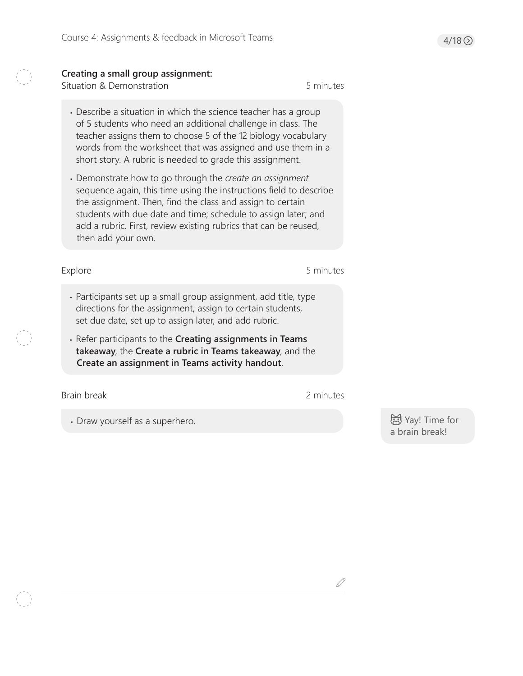### **Creating a small group assignment:**

Situation & Demonstration 6 minutes

- Describe a situation in which the science teacher has a group of 5 students who need an additional challenge in class. The teacher assigns them to choose 5 of the 12 biology vocabulary words from the worksheet that was assigned and use them in a short story. A rubric is needed to grade this assignment.
- Demonstrate how to go through the *create an assignment* sequence again, this time using the instructions field to describe the assignment. Then, find the class and assign to certain students with due date and time; schedule to assign later; and add a rubric. First, review existing rubrics that can be reused, then add your own.

Explore 5 minutes

- Participants set up a small group assignment, add title, type directions for the assignment, assign to certain students, set due date, set up to assign later, and add rubric.
- Refer participants to the **Creating assignments in Teams takeaway**, the **Create a rubric in Teams takeaway**, and the **Create an assignment in Teams activity handout**.

Brain break 2 minutes

D

• Draw yourself as a superhero.

 Yay! Time for a brain break!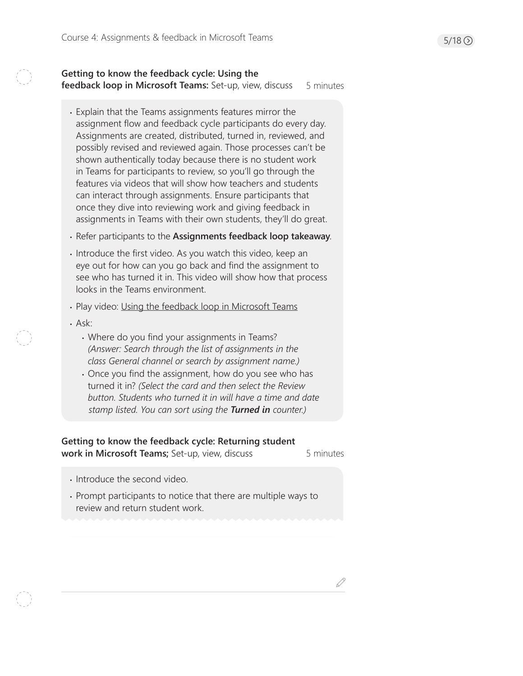#### **Getting to know the feedback cycle: Using the feedback loop in Microsoft Teams:** Set-up, view, discuss 5 minutes

- Explain that the Teams assignments features mirror the assignment flow and feedback cycle participants do every day. Assignments are created, distributed, turned in, reviewed, and possibly revised and reviewed again. Those processes can't be shown authentically today because there is no student work in Teams for participants to review, so you'll go through the features via videos that will show how teachers and students can interact through assignments. Ensure participants that once they dive into reviewing work and giving feedback in assignments in Teams with their own students, they'll do great.
- Refer participants to the **Assignments feedback loop takeaway**.
- Introduce the first video. As you watch this video, keep an eye out for how can you go back and find the assignment to see who has turned it in. This video will show how that process looks in the Teams environment.
- Play video: [Using the feedback loop in Microsoft Teams](https://www.microsoft.com/en-us/videoplayer/embed/RE27PN3)
- Ask:
	- Where do you find your assignments in Teams? *(Answer: Search through the list of assignments in the class General channel or search by assignment name.)*
	- Once you find the assignment, how do you see who has turned it in? *(Select the card and then select the Review button. Students who turned it in will have a time and date stamp listed. You can sort using the Turned in counter.)*

### **Getting to know the feedback cycle: Returning student work in Microsoft Teams;** Set-up, view, discuss

5 minutes

D

- Introduce the second video.
- Prompt participants to notice that there are multiple ways to review and return student work.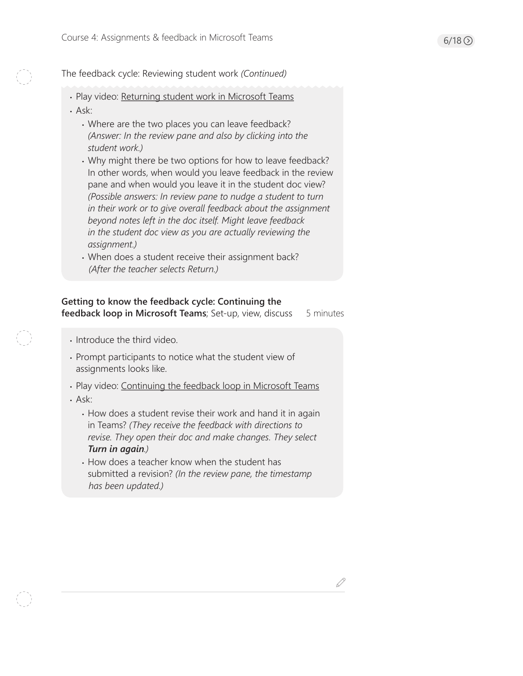The feedback cycle: Reviewing student work *(Continued)*

- Play video: [Returning student work in Microsoft Teams](https://www.microsoft.com/en-us/videoplayer/embed/RE2uKf9)
- Ask:
	- Where are the two places you can leave feedback? *(Answer: In the review pane and also by clicking into the student work.)*
	- Why might there be two options for how to leave feedback? In other words, when would you leave feedback in the review pane and when would you leave it in the student doc view? *(Possible answers: In review pane to nudge a student to turn in their work or to give overall feedback about the assignment beyond notes left in the doc itself. Might leave feedback in the student doc view as you are actually reviewing the assignment.)*
	- When does a student receive their assignment back? *(After the teacher selects Return.)*

# **Getting to know the feedback cycle: Continuing the**

5 minutes **feedback loop in Microsoft Teams**; Set-up, view, discuss

- Introduce the third video.
- Prompt participants to notice what the student view of assignments looks like.
- Play video: [Continuing the feedback loop in Microsoft Teams](https://www.microsoft.com/en-us/videoplayer/embed/RE2uF0g)
- Ask:
	- How does a student revise their work and hand it in again in Teams? *(They receive the feedback with directions to revise. They open their doc and make changes. They select Turn in again.)*
	- How does a teacher know when the student has submitted a revision? *(In the review pane, the timestamp has been updated.)*

D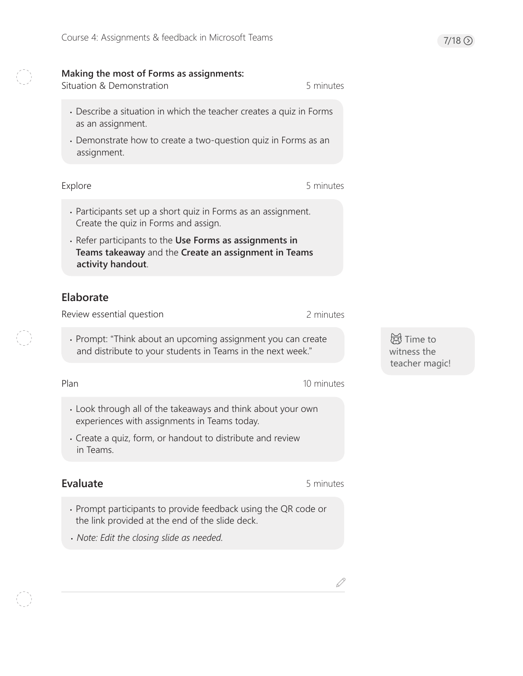## **Making the most of Forms as assignments:**

Situation & Demonstration 6 and 5 minutes

- Describe a situation in which the teacher creates a quiz in Forms as an assignment.
- Demonstrate how to create a two-question quiz in Forms as an assignment.

#### Explore 5 minutes

- Participants set up a short quiz in Forms as an assignment. Create the quiz in Forms and assign.
- Refer participants to the **Use Forms as assignments in Teams takeaway** and the **Create an assignment in Teams activity handout**.

# **Elaborate**

Review essential question

• Prompt: "Think about an upcoming assignment you can create and distribute to your students in Teams in the next week."

Plan

10 minutes

2 minutes

- Look through all of the takeaways and think about your own experiences with assignments in Teams today.
- Create a quiz, form, or handout to distribute and review in Teams.

# **Evaluate**

5 minutes

D

- Prompt participants to provide feedback using the QR code or the link provided at the end of the slide deck.
- *Note: Edit the closing slide as needed.*

**词**Time to witness the teacher magic!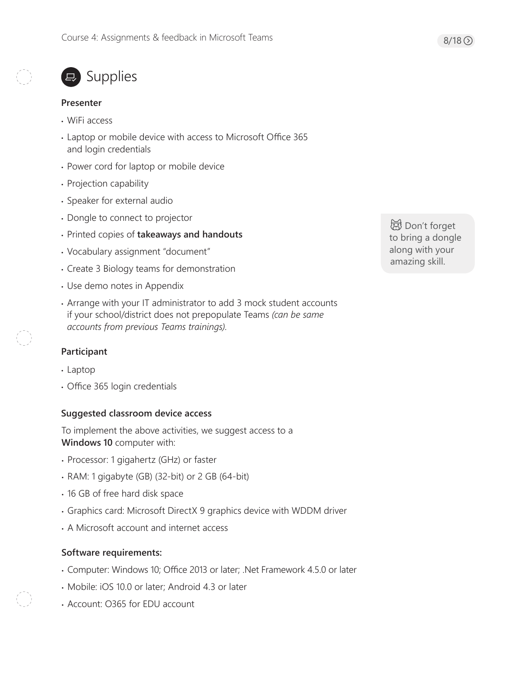# ■ Supplies

#### **Presenter**

- WiFi access
- Laptop or mobile device with access to Microsoft Office 365 and login credentials
- Power cord for laptop or mobile device
- Projection capability
- Speaker for external audio
- Dongle to connect to projector
- Printed copies of **takeaways and handouts**
- Vocabulary assignment "document"
- Create 3 Biology teams for demonstration
- Use demo notes in Appendix
- Arrange with your IT administrator to add 3 mock student accounts if your school/district does not prepopulate Teams *(can be same accounts from previous Teams trainings)*.

### **Participant**

- Laptop
- Office 365 login credentials

#### **Suggested classroom device access**

To implement the above activities, we suggest access to a **Windows 10** computer with:

- Processor: 1 gigahertz (GHz) or faster
- RAM: 1 gigabyte (GB) (32-bit) or 2 GB (64-bit)
- 16 GB of free hard disk space
- Graphics card: Microsoft DirectX 9 graphics device with WDDM driver
- A Microsoft account and internet access

#### **Software requirements:**

- Computer: Windows 10; Office 2013 or later; .Net Framework 4.5.0 or later
- Mobile: iOS 10.0 or later; Android 4.3 or later
- Account: O365 for EDU account

**母 Don't forget** to bring a dongle along with your amazing skill.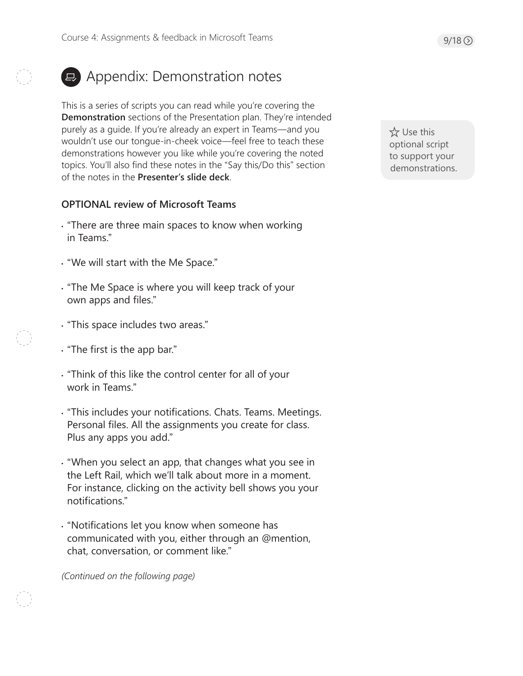# **E** Appendix: Demonstration notes

This is a series of scripts you can read while you're covering the **Demonstration** sections of the Presentation plan. They're intended purely as a guide. If you're already an expert in Teams—and you wouldn't use our tongue-in-cheek voice—feel free to teach these demonstrations however you like while you're covering the noted topics. You'll also find these notes in the "Say this/Do this" section of the notes in the **Presenter's slide deck**.

## **OPTIONAL review of Microsoft Teams**

- "There are three main spaces to know when working in Teams."
- "We will start with the Me Space."
- "The Me Space is where you will keep track of your own apps and files."
- "This space includes two areas."
- "The first is the app bar."
- "Think of this like the control center for all of your work in Teams"
- "This includes your notifications. Chats. Teams. Meetings. Personal files. All the assignments you create for class. Plus any apps you add."
- "When you select an app, that changes what you see in the Left Rail, which we'll talk about more in a moment. For instance, clicking on the activity bell shows you your notifications."
- "Notifications let you know when someone has communicated with you, either through an @mention, chat, conversation, or comment like."

*(Continued on the following page)* 

**☆ Use this** optional script to support your demonstrations.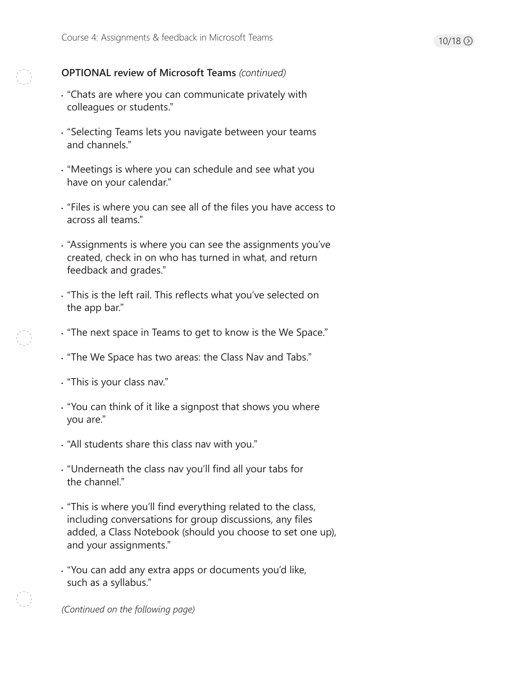# **OPTIONAL review of Microsoft Teams** *(continued)*

- "Chats are where you can communicate privately with colleagues or students."
- "Selecting Teams lets you navigate between your teams and channels."
- "Meetings is where you can schedule and see what you have on your calendar."
- "Files is where you can see all of the files you have access to across all teams."
- "Assignments is where you can see the assignments you've created, check in on who has turned in what, and return feedback and grades."
- "This is the left rail. This reflects what you've selected on the app bar."
- "The next space in Teams to get to know is the We Space."
- "The We Space has two areas: the Class Nav and Tabs."
- "This is your class nav."
- "You can think of it like a signpost that shows you where you are."
- "All students share this class nav with you."
- "Underneath the class nav you'll find all your tabs for the channel."
- "This is where you'll find everything related to the class, including conversations for group discussions, any files added, a Class Notebook (should you choose to set one up), and your assignments."
- "You can add any extra apps or documents you'd like, such as a syllabus."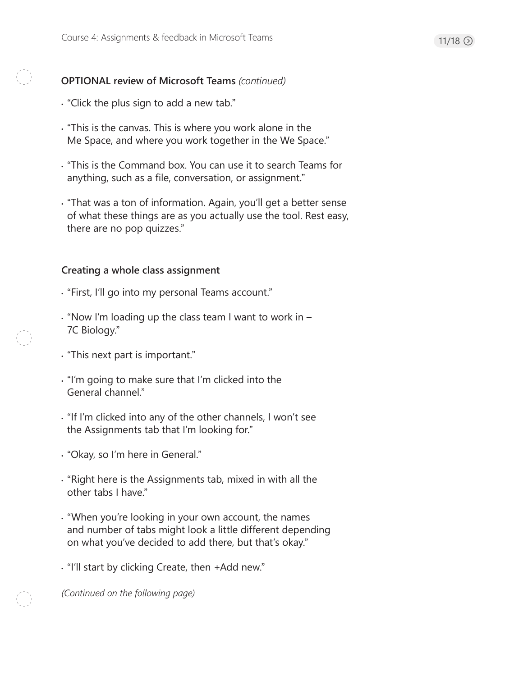# 11/18  $\odot$

# **OPTIONAL review of Microsoft Teams** *(continued)*

- "Click the plus sign to add a new tab."
- "This is the canvas. This is where you work alone in the Me Space, and where you work together in the We Space."
- "This is the Command box. You can use it to search Teams for anything, such as a file, conversation, or assignment."
- "That was a ton of information. Again, you'll get a better sense of what these things are as you actually use the tool. Rest easy, there are no pop quizzes."

# **Creating a whole class assignment**

- "First, I'll go into my personal Teams account."
- "Now I'm loading up the class team I want to work in 7C Biology."
- "This next part is important."
- "I'm going to make sure that I'm clicked into the General channel."
- "If I'm clicked into any of the other channels, I won't see the Assignments tab that I'm looking for."
- "Okay, so I'm here in General."
- "Right here is the Assignments tab, mixed in with all the other tabs I have."
- "When you're looking in your own account, the names and number of tabs might look a little different depending on what you've decided to add there, but that's okay."
- "I'll start by clicking Create, then +Add new."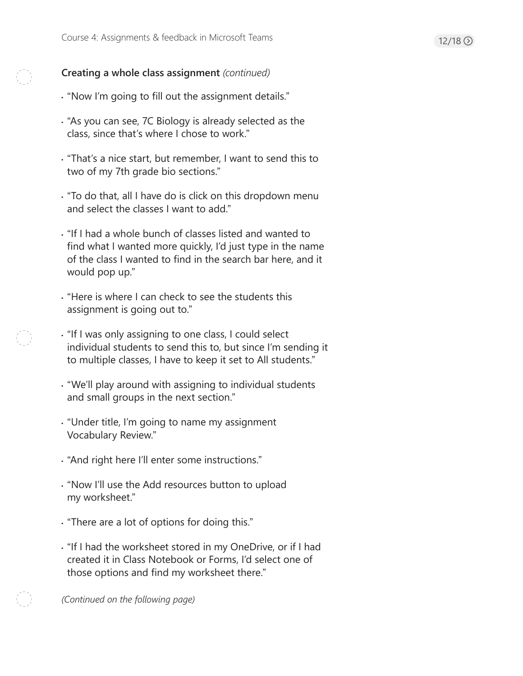# **Creating a whole class assignment** *(continued)*

- "Now I'm going to fill out the assignment details."
- "As you can see, 7C Biology is already selected as the class, since that's where I chose to work."
- "That's a nice start, but remember, I want to send this to two of my 7th grade bio sections."
- "To do that, all I have do is click on this dropdown menu and select the classes I want to add."
- "If I had a whole bunch of classes listed and wanted to find what I wanted more quickly, I'd just type in the name of the class I wanted to find in the search bar here, and it would pop up."
- "Here is where I can check to see the students this assignment is going out to."
- "If I was only assigning to one class, I could select individual students to send this to, but since I'm sending it to multiple classes, I have to keep it set to All students."
- "We'll play around with assigning to individual students and small groups in the next section."
- "Under title, I'm going to name my assignment Vocabulary Review."
- "And right here I'll enter some instructions."
- "Now I'll use the Add resources button to upload my worksheet."
- "There are a lot of options for doing this."
- "If I had the worksheet stored in my OneDrive, or if I had created it in Class Notebook or Forms, I'd select one of those options and find my worksheet there."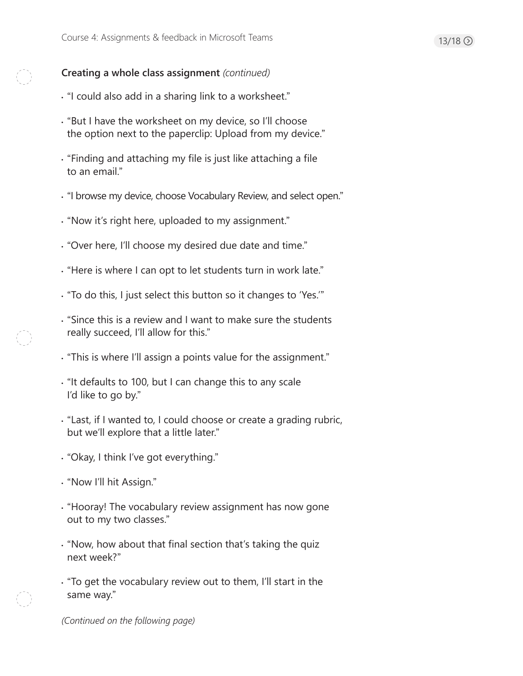# **Creating a whole class assignment** *(continued)*

- "I could also add in a sharing link to a worksheet."
- "But I have the worksheet on my device, so I'll choose the option next to the paperclip: Upload from my device."
- "Finding and attaching my file is just like attaching a file to an email."
- "I browse my device, choose Vocabulary Review, and select open."
- "Now it's right here, uploaded to my assignment."
- "Over here, I'll choose my desired due date and time."
- "Here is where I can opt to let students turn in work late."
- "To do this, I just select this button so it changes to 'Yes.'"
- "Since this is a review and I want to make sure the students really succeed, I'll allow for this."
- "This is where I'll assign a points value for the assignment."
- "It defaults to 100, but I can change this to any scale I'd like to go by."
- "Last, if I wanted to, I could choose or create a grading rubric, but we'll explore that a little later."
- "Okay, I think I've got everything."
- "Now I'll hit Assign."
- "Hooray! The vocabulary review assignment has now gone out to my two classes."
- "Now, how about that final section that's taking the quiz next week?"
- "To get the vocabulary review out to them, I'll start in the same way."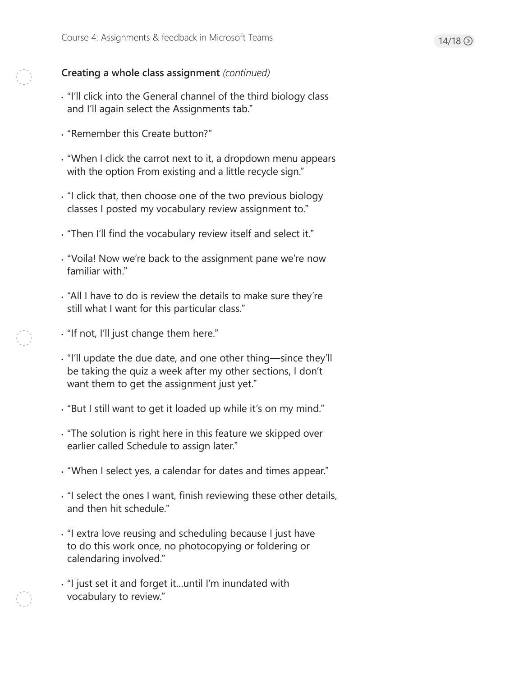# **Creating a whole class assignment** *(continued)*

- "I'll click into the General channel of the third biology class and I'll again select the Assignments tab."
- "Remember this Create button?"
- "When I click the carrot next to it, a dropdown menu appears with the option From existing and a little recycle sign."
- "I click that, then choose one of the two previous biology classes I posted my vocabulary review assignment to."
- "Then I'll find the vocabulary review itself and select it."
- "Voila! Now we're back to the assignment pane we're now familiar with."
- "All I have to do is review the details to make sure they're still what I want for this particular class."
- "If not, I'll just change them here."
- "I'll update the due date, and one other thing—since they'll be taking the quiz a week after my other sections, I don't want them to get the assignment just yet."
- "But I still want to get it loaded up while it's on my mind."
- "The solution is right here in this feature we skipped over earlier called Schedule to assign later."
- "When I select yes, a calendar for dates and times appear."
- "I select the ones I want, finish reviewing these other details, and then hit schedule."
- "I extra love reusing and scheduling because I just have to do this work once, no photocopying or foldering or calendaring involved."
- "I just set it and forget it…until I'm inundated with vocabulary to review."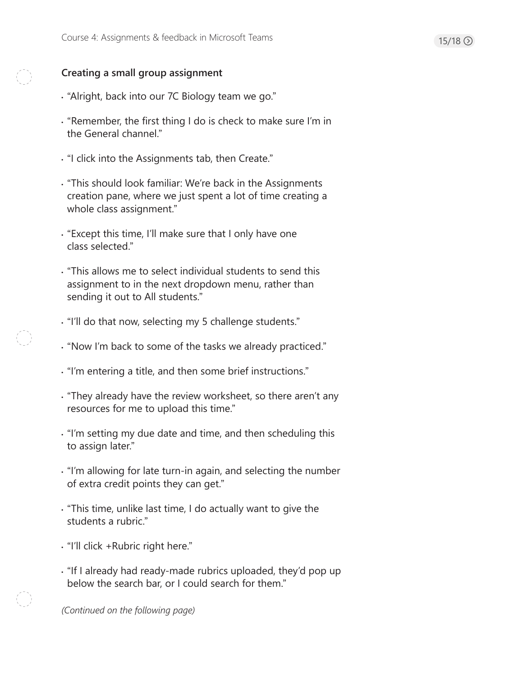# $15/18$   $\odot$

# **Creating a small group assignment**

- "Alright, back into our 7C Biology team we go."
- "Remember, the first thing I do is check to make sure I'm in the General channel."
- "I click into the Assignments tab, then Create."
- "This should look familiar: We're back in the Assignments creation pane, where we just spent a lot of time creating a whole class assignment."
- "Except this time, I'll make sure that I only have one class selected."
- "This allows me to select individual students to send this assignment to in the next dropdown menu, rather than sending it out to All students."
- "I'll do that now, selecting my 5 challenge students."
- "Now I'm back to some of the tasks we already practiced."
- "I'm entering a title, and then some brief instructions."
- "They already have the review worksheet, so there aren't any resources for me to upload this time."
- "I'm setting my due date and time, and then scheduling this to assign later."
- "I'm allowing for late turn-in again, and selecting the number of extra credit points they can get."
- "This time, unlike last time, I do actually want to give the students a rubric."
- "I'll click +Rubric right here."
- "If I already had ready-made rubrics uploaded, they'd pop up below the search bar, or I could search for them."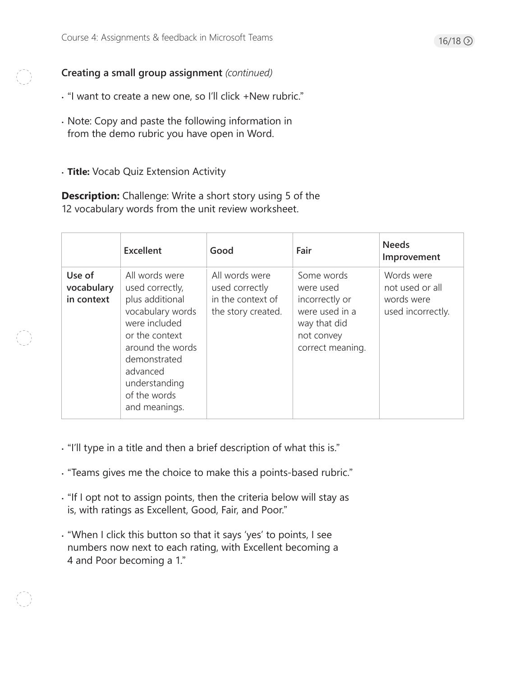**Creating a small group assignment** *(continued)* 

- "I want to create a new one, so I'll click +New rubric."
- Note: Copy and paste the following information in from the demo rubric you have open in Word.
- **Title:** Vocab Quiz Extension Activity

**Description:** Challenge: Write a short story using 5 of the 12 vocabulary words from the unit review worksheet.

|                                    | <b>Excellent</b>                                                                                                                                                                                              | Good                                                                        | Fair                                                                                                          | <b>Needs</b><br>Improvement                                      |
|------------------------------------|---------------------------------------------------------------------------------------------------------------------------------------------------------------------------------------------------------------|-----------------------------------------------------------------------------|---------------------------------------------------------------------------------------------------------------|------------------------------------------------------------------|
| Use of<br>vocabulary<br>in context | All words were<br>used correctly,<br>plus additional<br>vocabulary words<br>were included<br>or the context<br>around the words<br>demonstrated<br>advanced<br>understanding<br>of the words<br>and meanings. | All words were<br>used correctly<br>in the context of<br>the story created. | Some words<br>were used<br>incorrectly or<br>were used in a<br>way that did<br>not convey<br>correct meaning. | Words were<br>not used or all<br>words were<br>used incorrectly. |

- "I'll type in a title and then a brief description of what this is."
- "Teams gives me the choice to make this a points-based rubric."
- "If I opt not to assign points, then the criteria below will stay as is, with ratings as Excellent, Good, Fair, and Poor."
- "When I click this button so that it says 'yes' to points, I see numbers now next to each rating, with Excellent becoming a 4 and Poor becoming a 1."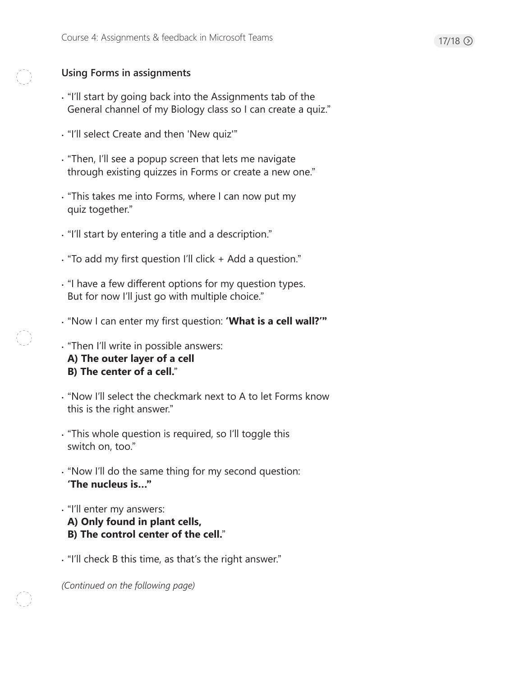# **Using Forms in assignments**

- "I'll start by going back into the Assignments tab of the General channel of my Biology class so I can create a quiz."
- "I'll select Create and then 'New quiz'"
- "Then, I'll see a popup screen that lets me navigate through existing quizzes in Forms or create a new one."
- "This takes me into Forms, where I can now put my quiz together."
- "I'll start by entering a title and a description."
- "To add my first question I'll click + Add a question."
- "I have a few different options for my question types. But for now I'll just go with multiple choice."
- "Now I can enter my first question: **'What is a cell wall?'"**
- "Then I'll write in possible answers: **A) The outer layer of a cell B) The center of a cell.**"
- "Now I'll select the checkmark next to A to let Forms know this is the right answer."
- "This whole question is required, so I'll toggle this switch on, too."
- "Now I'll do the same thing for my second question: **'The nucleus is…"**
- "I'll enter my answers: **A) Only found in plant cells, B) The control center of the cell.**"
- "I'll check B this time, as that's the right answer."